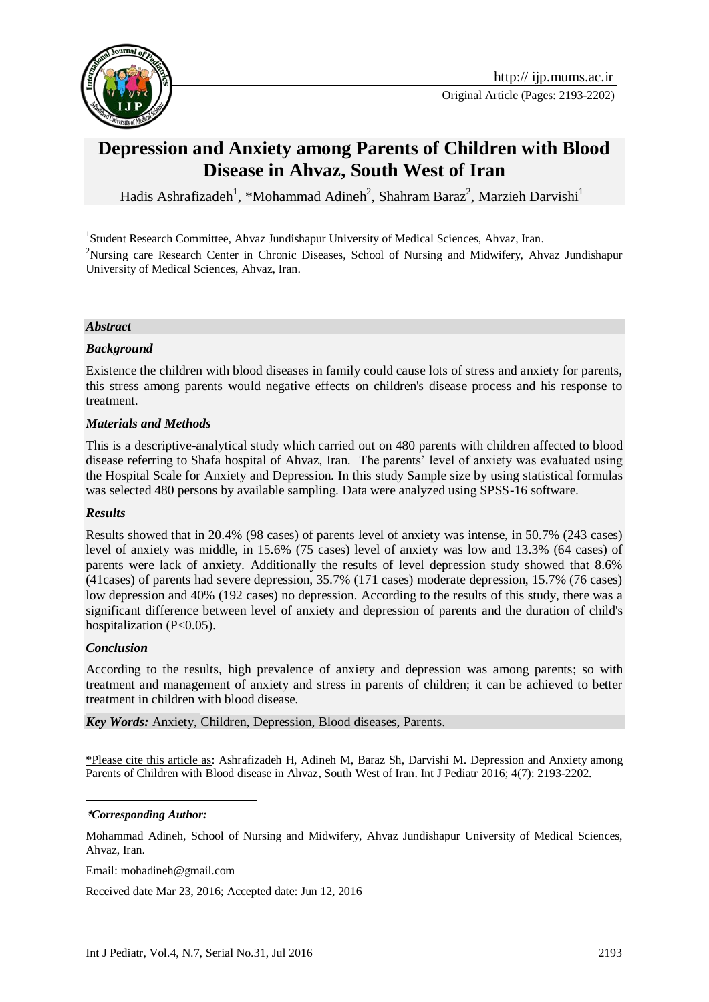

# **Depression and Anxiety among Parents of Children with Blood Disease in Ahvaz, South West of Iran**

Hadis Ashrafizadeh<sup>1</sup>, \*Mohammad Adineh<sup>2</sup>, Shahram Baraz<sup>2</sup>, Marzieh Darvishi<sup>1</sup>

<sup>1</sup>Student Research Committee, Ahvaz Jundishapur University of Medical Sciences, Ahvaz, Iran. <sup>2</sup>Nursing care Research Center in Chronic Diseases, School of Nursing and Midwifery, Ahvaz Jundishapur University of Medical Sciences, Ahvaz, Iran.

### *Abstract*

### *Background*

Existence the children with blood diseases in family could cause lots of stress and anxiety for parents, this stress among parents would negative effects on children's disease process and his response to treatment.

#### *Materials and Methods*

This is a descriptive-analytical study which carried out on 480 parents with children affected to blood disease referring to Shafa hospital of Ahvaz, Iran. The parents' level of anxiety was evaluated using the Hospital Scale for Anxiety and Depression. In this study Sample size by using statistical formulas was selected 480 persons by available sampling. Data were analyzed using SPSS-16 software.

#### *Results*

Results showed that in 20.4% (98 cases) of parents level of anxiety was intense, in 50.7% (243 cases) level of anxiety was middle, in 15.6% (75 cases) level of anxiety was low and 13.3% (64 cases) of parents were lack of anxiety. Additionally the results of level depression study showed that 8.6% (41cases) of parents had severe depression, 35.7% (171 cases) moderate depression, 15.7% (76 cases) low depression and 40% (192 cases) no depression. According to the results of this study, there was a significant difference between level of anxiety and depression of parents and the duration of child's hospitalization (P<0.05).

#### *Conclusion*

<u>.</u>

According to the results, high prevalence of anxiety and depression was among parents; so with treatment and management of anxiety and stress in parents of children; it can be achieved to better treatment in children with blood disease.

*Key Words:* Anxiety, [Children,](http://ijp.mums.ac.ir/?_action=article&kw=261&_kw=Children) [Depression,](http://ijp.mums.ac.ir/?_action=article&kw=1155&_kw=Depression) [Blood diseases,](http://ijp.mums.ac.ir/?_action=article&kw=18947&_kw=Blood+diseases) [Parents.](http://ijp.mums.ac.ir/?_action=article&kw=264&_kw=Parents)

\*Please cite this article as: Ashrafizadeh H, Adineh M, Baraz Sh, Darvishi M. Depression and Anxiety among Parents of Children with Blood disease in Ahvaz, South West of Iran. Int J Pediatr 2016; 4(7): 2193-2202.

#### **\****Corresponding Author:*

Mohammad Adineh, School of Nursing and Midwifery, Ahvaz Jundishapur University of Medical Sciences, Ahvaz, Iran.

Email: mohadineh@gmail.com

Received date Mar 23, 2016; Accepted date: Jun 12, 2016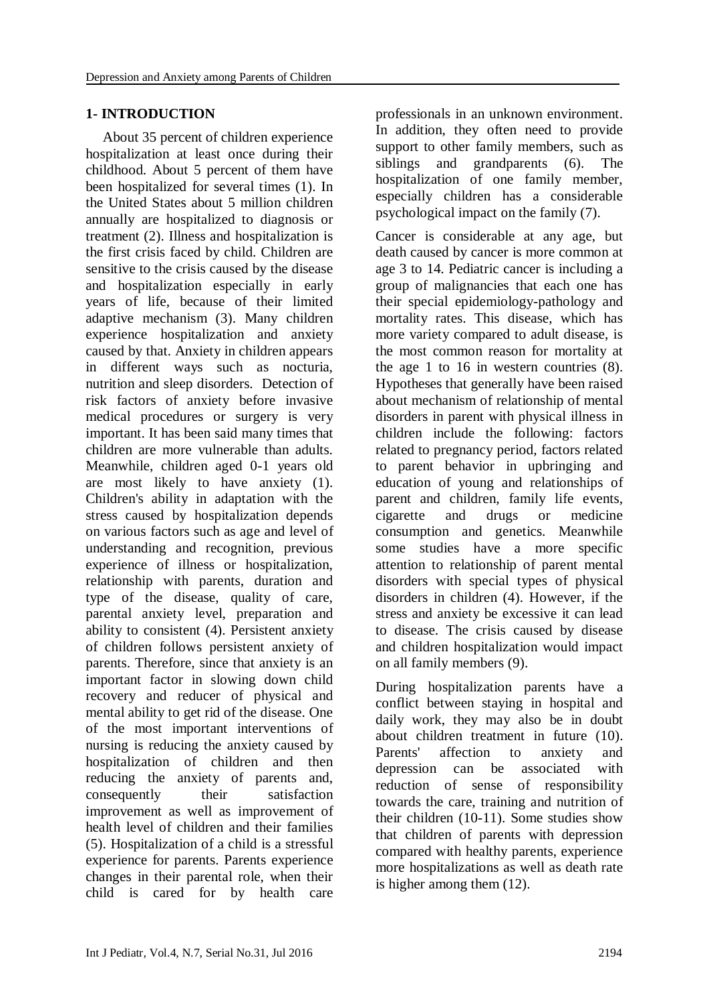### **1- INTRODUCTION**

About 35 percent of children experience hospitalization at least once during their childhood. About 5 percent of them have been hospitalized for several times (1). In the United States about 5 million children annually are hospitalized to diagnosis or treatment (2). Illness and hospitalization is the first crisis faced by child. Children are sensitive to the crisis caused by the disease and hospitalization especially in early years of life, because of their limited adaptive mechanism (3). Many children experience hospitalization and anxiety caused by that. Anxiety in children appears in different ways such as nocturia, nutrition and sleep disorders. Detection of risk factors of anxiety before invasive medical procedures or surgery is very important. It has been said many times that children are more vulnerable than adults. Meanwhile, children aged 0-1 years old are most likely to have anxiety (1). Children's ability in adaptation with the stress caused by hospitalization depends on various factors such as age and level of understanding and recognition, previous experience of illness or hospitalization, relationship with parents, duration and type of the disease, quality of care, parental anxiety level, preparation and ability to consistent (4). Persistent anxiety of children follows persistent anxiety of parents. Therefore, since that anxiety is an important factor in slowing down child recovery and reducer of physical and mental ability to get rid of the disease. One of the most important interventions of nursing is reducing the anxiety caused by hospitalization of children and then reducing the anxiety of parents and, consequently their satisfaction improvement as well as improvement of health level of children and their families (5). Hospitalization of a child is a stressful experience for parents. Parents experience changes in their parental role, when their child is cared for by health care

professionals in an unknown environment. In addition, they often need to provide support to other family members, such as siblings and grandparents (6). The hospitalization of one family member, especially children has a considerable psychological impact on the family (7).

Cancer is considerable at any age, but death caused by cancer is more common at age 3 to 14. Pediatric cancer is including a group of malignancies that each one has their special epidemiology-pathology and mortality rates. This disease, which has more variety compared to adult disease, is the most common reason for mortality at the age 1 to 16 in western countries (8). Hypotheses that generally have been raised about mechanism of relationship of mental disorders in parent with physical illness in children include the following: factors related to pregnancy period, factors related to parent behavior in upbringing and education of young and relationships of parent and children, family life events, cigarette and drugs or medicine consumption and genetics. Meanwhile some studies have a more specific attention to relationship of parent mental disorders with special types of physical disorders in children (4). However, if the stress and anxiety be excessive it can lead to disease. The crisis caused by disease and children hospitalization would impact on all family members (9).

During hospitalization parents have a conflict between staying in hospital and daily work, they may also be in doubt about children treatment in future (10). Parents' affection to anxiety and depression can be associated with reduction of sense of responsibility towards the care, training and nutrition of their children (10-11). Some studies show that children of parents with depression compared with healthy parents, experience more hospitalizations as well as death rate is higher among them (12).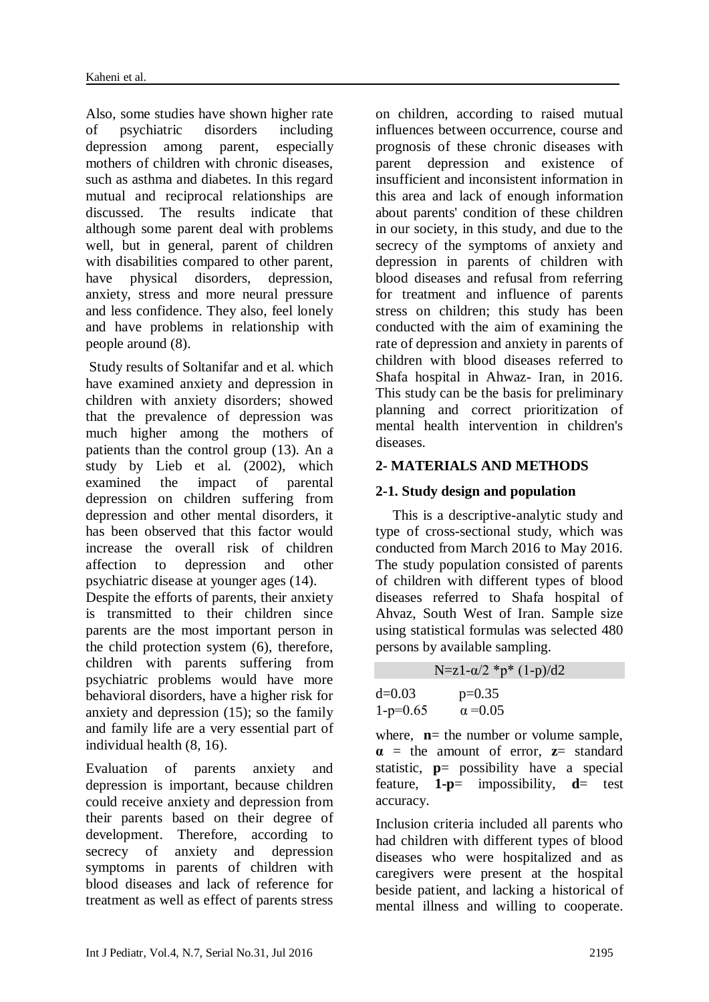Also, some studies have shown higher rate of psychiatric disorders including depression among parent, especially mothers of children with chronic diseases, such as asthma and diabetes. In this regard mutual and reciprocal relationships are discussed. The results indicate that although some parent deal with problems well, but in general, parent of children with disabilities compared to other parent, have physical disorders, depression, anxiety, stress and more neural pressure and less confidence. They also, feel lonely and have problems in relationship with people around (8).

Study results of Soltanifar and et al. which have examined anxiety and depression in children with anxiety disorders; showed that the prevalence of depression was much higher among the mothers of patients than the control group (13). An a study by Lieb et al. (2002), which examined the impact of parental depression on children suffering from depression and other mental disorders, it has been observed that this factor would increase the overall risk of children affection to depression and other psychiatric disease at younger ages (14).

Despite the efforts of parents, their anxiety is transmitted to their children since parents are the most important person in the child protection system (6), therefore, children with parents suffering from psychiatric problems would have more behavioral disorders, have a higher risk for anxiety and depression (15); so the family and family life are a very essential part of individual health (8, 16).

Evaluation of parents anxiety and depression is important, because children could receive anxiety and depression from their parents based on their degree of development. Therefore, according to secrecy of anxiety and depression symptoms in parents of children with blood diseases and lack of reference for treatment as well as effect of parents stress

on children, according to raised mutual influences between occurrence, course and prognosis of these chronic diseases with parent depression and existence of insufficient and inconsistent information in this area and lack of enough information about parents' condition of these children in our society, in this study, and due to the secrecy of the symptoms of anxiety and depression in parents of children with blood diseases and refusal from referring for treatment and influence of parents stress on children; this study has been conducted with the aim of examining the rate of depression and anxiety in parents of children with blood diseases referred to Shafa hospital in Ahwaz- Iran, in 2016. This study can be the basis for preliminary planning and correct prioritization of mental health intervention in children's diseases.

# **2- MATERIALS AND METHODS**

# **2-1. Study design and population**

This is a descriptive-analytic study and type of cross-sectional study, which was conducted from March 2016 to May 2016. The study population consisted of parents of children with different types of blood diseases referred to Shafa hospital of Ahvaz, South West of Iran. Sample size using statistical formulas was selected 480 persons by available sampling.

N=z1- $\alpha/2$  \*p\* (1-p)/d2

d=0.03  
1-p=0.65  

$$
p=0.35
$$
  
 $\alpha = 0.05$ 

where,  $\mathbf{n}$  = the number or volume sample, **α** = the amount of error, **z**= standard statistic, **p**= possibility have a special feature, **1-p**= impossibility, **d**= test accuracy.

Inclusion criteria included all parents who had children with different types of blood diseases who were hospitalized and as caregivers were present at the hospital beside patient, and lacking a historical of mental illness and willing to cooperate.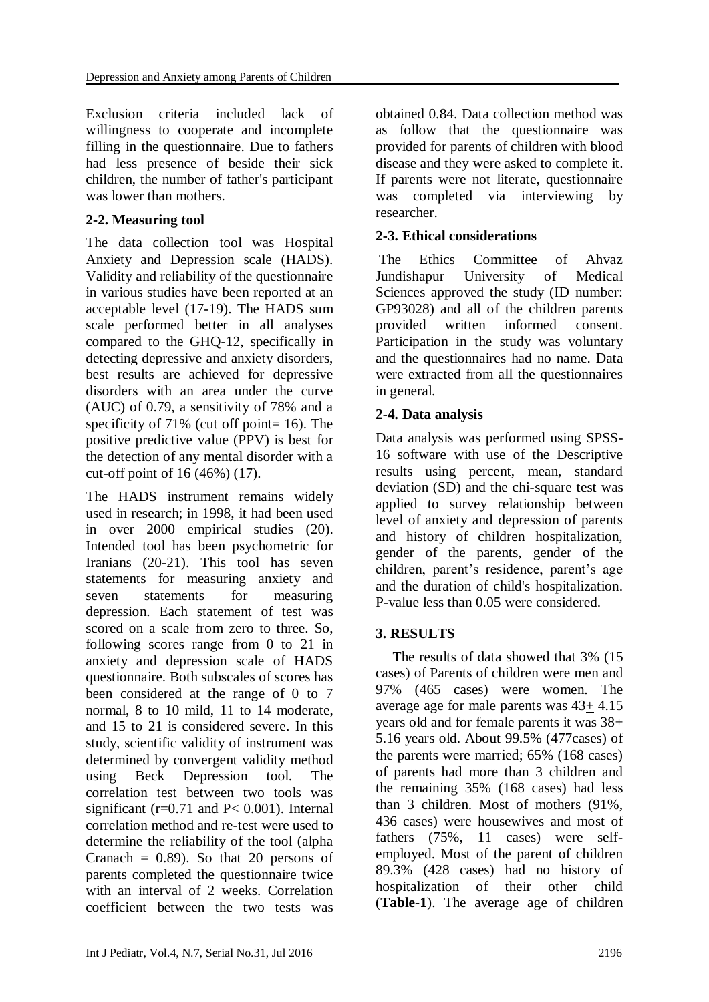Exclusion criteria included lack of willingness to cooperate and incomplete filling in the questionnaire. Due to fathers had less presence of beside their sick children, the number of father's participant was lower than mothers.

### **2-2. Measuring tool**

The data collection tool was Hospital Anxiety and Depression scale (HADS). Validity and reliability of the questionnaire in various studies have been reported at an acceptable level (17-19). The HADS sum scale performed better in all analyses compared to the GHQ-12, specifically in detecting depressive and anxiety disorders, best results are achieved for depressive disorders with an area under the curve (AUC) of 0.79, a sensitivity of 78% and a specificity of  $71\%$  (cut off point= 16). The positive predictive value (PPV) is best for the detection of any mental disorder with a cut-off point of 16 (46%) (17).

The HADS instrument remains widely used in research; in 1998, it had been used in over 2000 empirical studies (20). Intended tool has been psychometric for Iranians (20-21). This tool has seven statements for measuring anxiety and seven statements for measuring depression. Each statement of test was scored on a scale from zero to three. So, following scores range from 0 to 21 in anxiety and depression scale of HADS questionnaire. Both subscales of scores has been considered at the range of 0 to 7 normal, 8 to 10 mild, 11 to 14 moderate, and 15 to 21 is considered severe. In this study, scientific validity of instrument was determined by convergent validity method using Beck Depression tool. The correlation test between two tools was significant ( $r=0.71$  and  $P<0.001$ ). Internal correlation method and re-test were used to determine the reliability of the tool (alpha Cranach  $= 0.89$ . So that 20 persons of parents completed the questionnaire twice with an interval of 2 weeks. Correlation coefficient between the two tests was

obtained 0.84. Data collection method was as follow that the questionnaire was provided for parents of children with blood disease and they were asked to complete it. If parents were not literate, questionnaire was completed via interviewing by researcher.

# **2-3. Ethical considerations**

The Ethics Committee of Ahvaz Jundishapur University of Medical Sciences approved the study (ID number: GP93028) and all of the children parents provided written informed consent. Participation in the study was voluntary and the questionnaires had no name. Data were extracted from all the questionnaires in general.

# **2-4. Data analysis**

Data analysis was performed using SPSS-16 software with use of the Descriptive results using percent, mean, standard deviation (SD) and the chi-square test was applied to survey relationship between level of anxiety and depression of parents and history of children hospitalization, gender of the parents, gender of the children, parent's residence, parent's age and the duration of child's hospitalization. P-value less than 0.05 were considered.

# **3. RESULTS**

The results of data showed that 3% (15 cases) of Parents of children were men and 97% (465 cases) were women. The average age for male parents was 43+ 4.15 years old and for female parents it was 38+ 5.16 years old. About 99.5% (477cases) of the parents were married; 65% (168 cases) of parents had more than 3 children and the remaining 35% (168 cases) had less than 3 children. Most of mothers (91%, 436 cases) were housewives and most of fathers (75%, 11 cases) were selfemployed. Most of the parent of children 89.3% (428 cases) had no history of hospitalization of their other child (**Table-1**). The average age of children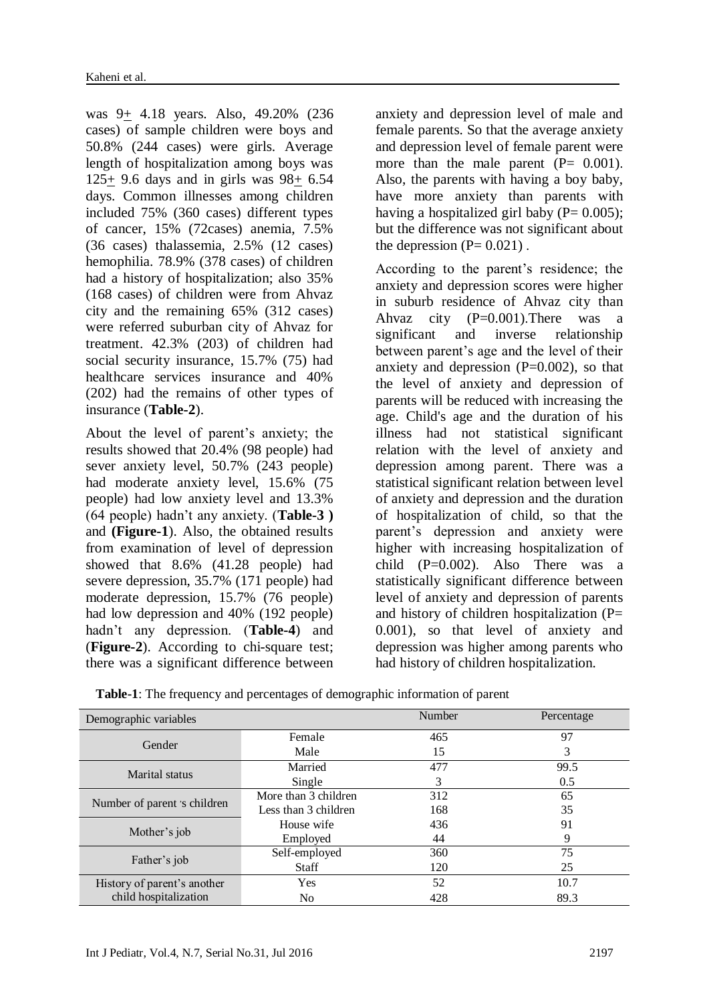was 9+ 4.18 years. Also, 49.20% (236 cases) of sample children were boys and 50.8% (244 cases) were girls. Average length of hospitalization among boys was 125+ 9.6 days and in girls was 98+ 6.54 days. Common illnesses among children included 75% (360 cases) different types of cancer, 15% (72cases) anemia, 7.5% (36 cases) thalassemia, 2.5% (12 cases) hemophilia. 78.9% (378 cases) of children had a history of hospitalization; also 35% (168 cases) of children were from Ahvaz city and the remaining 65% (312 cases) were referred suburban city of Ahvaz for treatment. 42.3% (203) of children had social security insurance, 15.7% (75) had healthcare services insurance and 40% (202) had the remains of other types of insurance (**Table-2**).

About the level of parent's anxiety; the results showed that 20.4% (98 people) had sever anxiety level, 50.7% (243 people) had moderate anxiety level, 15.6% (75 people) had low anxiety level and 13.3% (64 people) hadn't any anxiety. (**Table-3 )**  and **(Figure-1**). Also, the obtained results from examination of level of depression showed that 8.6% (41.28 people) had severe depression, 35.7% (171 people) had moderate depression, 15.7% (76 people) had low depression and 40% (192 people) hadn't any depression. (**Table-4**) and (**Figure-2**). According to chi-square test; there was a significant difference between

anxiety and depression level of male and female parents. So that the average anxiety and depression level of female parent were more than the male parent  $(P= 0.001)$ . Also, the parents with having a boy baby, have more anxiety than parents with having a hospitalized girl baby  $(P= 0.005)$ ; but the difference was not significant about the depression  $(P= 0.021)$ .

According to the parent's residence; the anxiety and depression scores were higher in suburb residence of Ahvaz city than Ahvaz city (P=0.001).There was a significant and inverse relationship between parent's age and the level of their anxiety and depression  $(P=0.002)$ , so that the level of anxiety and depression of parents will be reduced with increasing the age. Child's age and the duration of his illness had not statistical significant relation with the level of anxiety and depression among parent. There was a statistical significant relation between level of anxiety and depression and the duration of hospitalization of child, so that the parent's depression and anxiety were higher with increasing hospitalization of child (P=0.002). Also There was a statistically significant difference between level of anxiety and depression of parents and history of children hospitalization  $(P=$ 0.001), so that level of anxiety and depression was higher among parents who had history of children hospitalization.

| <b>Table-1:</b> The frequency and percentages of demographic information of parent |  |  |
|------------------------------------------------------------------------------------|--|--|
|------------------------------------------------------------------------------------|--|--|

| Demographic variables        |                      | Number | Percentage |
|------------------------------|----------------------|--------|------------|
| Gender                       | Female               | 465    | 97         |
|                              | Male                 | 15     | 3          |
| Marital status               | Married              | 477    | 99.5       |
|                              | Single               | 3      | 0.5        |
|                              | More than 3 children | 312    | 65         |
| Number of parent 's children | Less than 3 children | 168    | 35         |
| Mother's job                 | House wife           | 436    | 91         |
|                              | Employed             | 44     | 9          |
|                              | Self-employed        | 360    | 75         |
| Father's job                 | <b>Staff</b>         | 120    | 25         |
| History of parent's another  | Yes                  | 52     | 10.7       |
| child hospitalization        | No                   | 428    | 89.3       |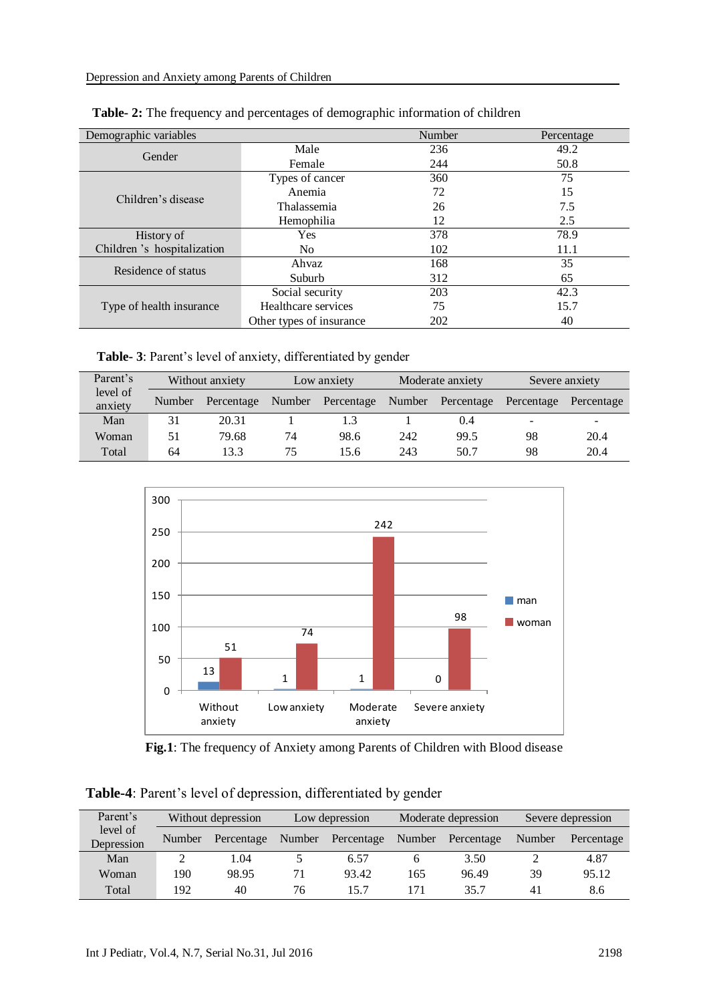| Demographic variables       |                          | Number | Percentage |
|-----------------------------|--------------------------|--------|------------|
| Gender                      | Male                     | 236    | 49.2       |
|                             | Female                   | 244    | 50.8       |
|                             | Types of cancer          | 360    | 75         |
| Children's disease          | Anemia                   | 72     | 15         |
|                             | Thalassemia              | 26     | 7.5        |
|                             | Hemophilia               | 12     | 2.5        |
| History of                  | Yes                      | 378    | 78.9       |
| Children 's hospitalization | No.                      | 102    | 11.1       |
| Residence of status         | Ahvaz                    | 168    | 35         |
|                             | Suburb                   | 312    | 65         |
|                             | Social security          | 203    | 42.3       |
| Type of health insurance    | Healthcare services      | 75     | 15.7       |
|                             | Other types of insurance | 202    | 40         |

| <b>Table-2:</b> The frequency and percentages of demographic information of children |  |  |  |
|--------------------------------------------------------------------------------------|--|--|--|
|                                                                                      |  |  |  |

**Table- 3**: Parent's level of anxiety, differentiated by gender

| Parent's<br>Without anxiety |        | Low anxiety |        | Moderate anxiety |     | Severe anxiety    |                |                          |
|-----------------------------|--------|-------------|--------|------------------|-----|-------------------|----------------|--------------------------|
| level of<br>anxiety         | Number | Percentage  | Number | Percentage       |     | Number Percentage | Percentage     | Percentage               |
| Man                         | 31     | 20.31       |        |                  |     | 0.4               | $\blacksquare$ | $\overline{\phantom{0}}$ |
| Woman                       | 51     | 79.68       | 74     | 98.6             | 242 | 99.5              | 98             | 20.4                     |
| Total                       | 64     | 13.3        | 75     | 15.6             | 243 | 50.7              | 98             | 20.4                     |



**Fig.1**: The frequency of Anxiety among Parents of Children with Blood disease

**Table-4**: Parent's level of depression, differentiated by gender

| Parent's<br>Without depression |        | Low depression |        | Moderate depression |        | Severe depression |        |            |
|--------------------------------|--------|----------------|--------|---------------------|--------|-------------------|--------|------------|
| level of<br>Depression         | Number | Percentage     | Number | Percentage          | Number | Percentage        | Number | Percentage |
| Man                            |        | 1.04           |        | 6.57                |        | 3.50              |        | 4.87       |
| Woman                          | 190    | 98.95          |        | 93.42               | 165    | 96.49             | 39     | 95.12      |
| Total                          | 192    | 40             | 76     | 15.7                | 171    | 35.7              | 41     | 8.6        |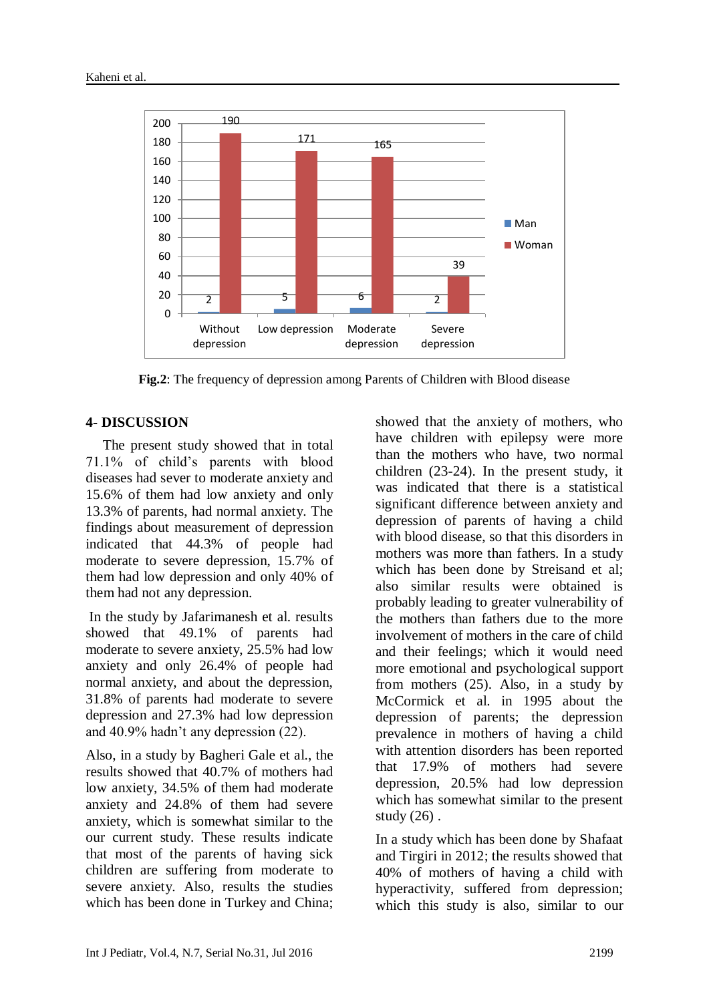

**Fig.2**: The frequency of depression among Parents of Children with Blood disease

### **4- DISCUSSION**

The present study showed that in total 71.1% of child's parents with blood diseases had sever to moderate anxiety and 15.6% of them had low anxiety and only 13.3% of parents, had normal anxiety. The findings about measurement of depression indicated that 44.3% of people had moderate to severe depression, 15.7% of them had low depression and only 40% of them had not any depression.

In the study by Jafarimanesh et al. results showed that 49.1% of parents had moderate to severe anxiety, 25.5% had low anxiety and only 26.4% of people had normal anxiety, and about the depression, 31.8% of parents had moderate to severe depression and 27.3% had low depression and 40.9% hadn't any depression (22).

Also, in a study by Bagheri Gale et al., the results showed that 40.7% of mothers had low anxiety, 34.5% of them had moderate anxiety and 24.8% of them had severe anxiety, which is somewhat similar to the our current study. These results indicate that most of the parents of having sick children are suffering from moderate to severe anxiety. Also, results the studies which has been done in Turkey and China; showed that the anxiety of mothers, who have children with epilepsy were more than the mothers who have, two normal children (23-24). In the present study, it was indicated that there is a statistical significant difference between anxiety and depression of parents of having a child with blood disease, so that this disorders in mothers was more than fathers. In a study which has been done by Streisand et al; also similar results were obtained is probably leading to greater vulnerability of the mothers than fathers due to the more involvement of mothers in the care of child and their feelings; which it would need more emotional and psychological support from mothers (25). Also, in a study by McCormick et al. in 1995 about the depression of parents; the depression prevalence in mothers of having a child with attention disorders has been reported that 17.9% of mothers had severe depression, 20.5% had low depression which has somewhat similar to the present study  $(26)$ .

In a study which has been done by Shafaat and Tirgiri in 2012; the results showed that 40% of mothers of having a child with hyperactivity, suffered from depression; which this study is also, similar to our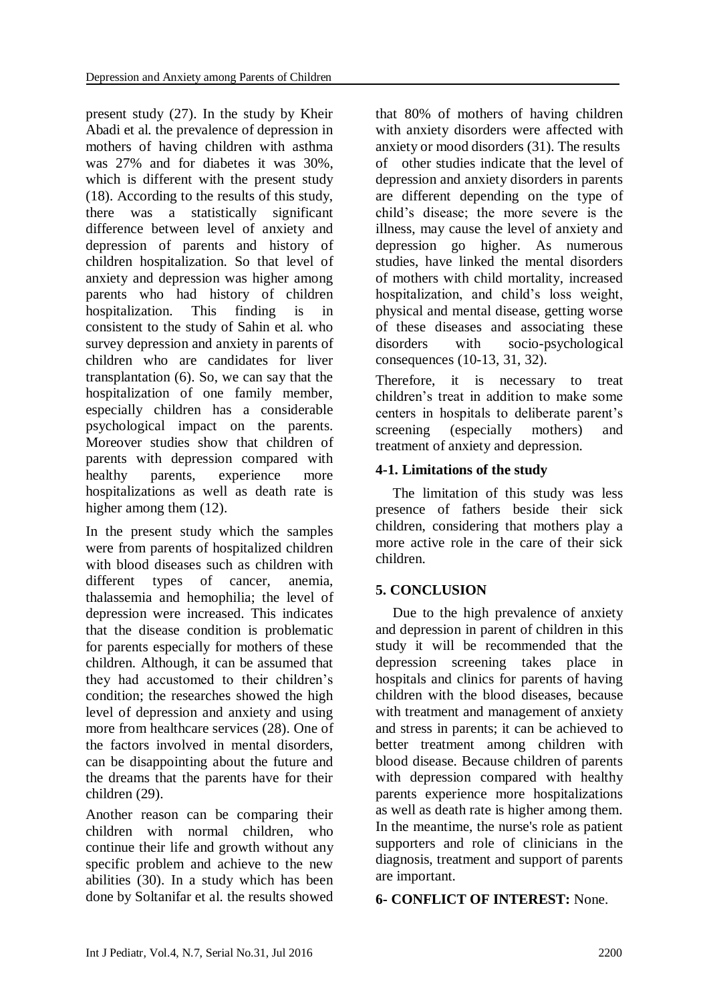present study (27). In the study by Kheir Abadi et al. the prevalence of depression in mothers of having children with asthma was 27% and for diabetes it was 30%, which is different with the present study (18). According to the results of this study, there was a statistically significant difference between level of anxiety and depression of parents and history of children hospitalization. So that level of anxiety and depression was higher among parents who had history of children hospitalization. This finding is in consistent to the study of Sahin et al. who survey depression and anxiety in parents of children who are candidates for liver transplantation (6). So, we can say that the hospitalization of one family member, especially children has a considerable psychological impact on the parents. Moreover studies show that children of parents with depression compared with healthy parents, experience more hospitalizations as well as death rate is higher among them  $(12)$ .

In the present study which the samples were from parents of hospitalized children with blood diseases such as children with different types of cancer, anemia. thalassemia and hemophilia; the level of depression were increased. This indicates that the disease condition is problematic for parents especially for mothers of these children. Although, it can be assumed that they had accustomed to their children's condition; the researches showed the high level of depression and anxiety and using more from healthcare services (28). One of the factors involved in mental disorders, can be disappointing about the future and the dreams that the parents have for their children (29).

Another reason can be comparing their children with normal children, who continue their life and growth without any specific problem and achieve to the new abilities (30). In a study which has been done by Soltanifar et al. the results showed

that 80% of mothers of having children with anxiety disorders were affected with anxiety or mood disorders (31). The results of other studies indicate that the level of depression and anxiety disorders in parents are different depending on the type of child's disease; the more severe is the illness, may cause the level of anxiety and depression go higher. As numerous studies, have linked the mental disorders of mothers with child mortality, increased hospitalization, and child's loss weight, physical and mental disease, getting worse of these diseases and associating these disorders with socio-psychological consequences (10-13, 31, 32).

Therefore, it is necessary to treat children's treat in addition to make some centers in hospitals to deliberate parent's screening (especially mothers) and treatment of anxiety and depression.

# **4-1. Limitations of the study**

The limitation of this study was less presence of fathers beside their sick children, considering that mothers play a more active role in the care of their sick children.

# **5. CONCLUSION**

Due to the high prevalence of anxiety and depression in parent of children in this study it will be recommended that the depression screening takes place in hospitals and clinics for parents of having children with the blood diseases, because with treatment and management of anxiety and stress in parents; it can be achieved to better treatment among children with blood disease. Because children of parents with depression compared with healthy parents experience more hospitalizations as well as death rate is higher among them. In the meantime, the nurse's role as patient supporters and role of clinicians in the diagnosis, treatment and support of parents are important.

**6- CONFLICT OF INTEREST:** None.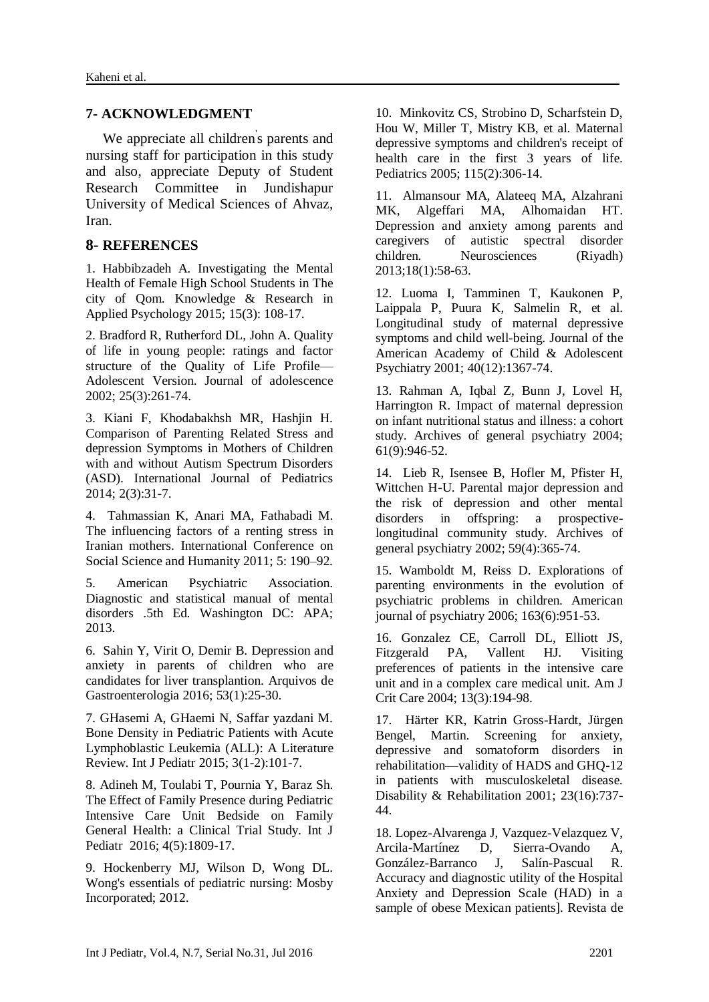### **7- ACKNOWLEDGMENT**

We appreciate all children's parents and nursing staff for participation in this study and also, appreciate Deputy of Student Research Committee in Jundishapur University of Medical Sciences of Ahvaz, Iran.

### **8- REFERENCES**

1. Habbibzadeh A. Investigating the Mental Health of Female High School Students in The city of Qom. Knowledge & Research in Applied Psychology 2015; 15(3): 108-17.

2. Bradford R, Rutherford DL, John A. Quality of life in young people: ratings and factor structure of the Quality of Life Profile— Adolescent Version. Journal of adolescence 2002; 25(3):261-74.

3. Kiani F, Khodabakhsh MR, Hashjin H. Comparison of Parenting Related Stress and depression Symptoms in Mothers of Children with and without Autism Spectrum Disorders (ASD). International Journal of Pediatrics 2014; 2(3):31-7.

4. Tahmassian K, Anari MA, Fathabadi M. The influencing factors of a renting stress in Iranian mothers. International Conference on Social Science and Humanity 2011; 5: 190–92.

5. American Psychiatric Association. Diagnostic and statistical manual of mental disorders .5th Ed. Washington DC: APA; 2013.

6. Sahin Y, Virit O, Demir B. Depression and anxiety in parents of children who are candidates for liver transplantion. Arquivos de Gastroenterologia 2016; 53(1):25-30.

7. GHasemi A, GHaemi N, Saffar yazdani M. Bone Density in Pediatric Patients with Acute Lymphoblastic Leukemia (ALL): A Literature Review. Int J Pediatr 2015; 3(1-2):101-7.

8. Adineh M, Toulabi T, Pournia Y, Baraz Sh. The Effect of Family Presence during Pediatric Intensive Care Unit Bedside on Family General Health: a Clinical Trial Study. Int J Pediatr 2016; 4(5):1809-17.

9. Hockenberry MJ, Wilson D, Wong DL. Wong's essentials of pediatric nursing: Mosby Incorporated; 2012.

10. Minkovitz CS, Strobino D, Scharfstein D, Hou W, Miller T, Mistry KB, et al. Maternal depressive symptoms and children's receipt of health care in the first 3 years of life. Pediatrics 2005; 115(2):306-14.

11. Almansour MA, Alateeq MA, Alzahrani MK, Algeffari MA, Alhomaidan HT. Depression and anxiety among parents and caregivers of autistic spectral disorder children. Neurosciences (Riyadh) 2013;18(1):58-63.

12. Luoma I, Tamminen T, Kaukonen P, Laippala P, Puura K, Salmelin R, et al. Longitudinal study of maternal depressive symptoms and child well-being. Journal of the American Academy of Child & Adolescent Psychiatry 2001; 40(12):1367-74.

13. Rahman A, Iqbal Z, Bunn J, Lovel H, Harrington R. Impact of maternal depression on infant nutritional status and illness: a cohort study. Archives of general psychiatry 2004; 61(9):946-52.

14. Lieb R, Isensee B, Hofler M, Pfister H, Wittchen H-U. Parental major depression and the risk of depression and other mental disorders in offspring: a prospectivelongitudinal community study. Archives of general psychiatry 2002; 59(4):365-74.

15. Wamboldt M, Reiss D. Explorations of parenting environments in the evolution of psychiatric problems in children. American journal of psychiatry 2006; 163(6):951-53.

16. Gonzalez CE, Carroll DL, Elliott JS, Fitzgerald PA, Vallent HJ. Visiting preferences of patients in the intensive care unit and in a complex care medical unit. Am J Crit Care 2004; 13(3):194-98.

17. Härter KR, Katrin Gross-Hardt, Jürgen Bengel, Martin. Screening for anxiety, depressive and somatoform disorders in rehabilitation—validity of HADS and GHQ-12 in patients with musculoskeletal disease. Disability & Rehabilitation 2001; 23(16):737- 44.

18. Lopez-Alvarenga J, Vazquez-Velazquez V, Arcila-Martínez D, Sierra-Ovando A, González-Barranco J, Salín-Pascual R. Accuracy and diagnostic utility of the Hospital Anxiety and Depression Scale (HAD) in a sample of obese Mexican patients]. Revista de